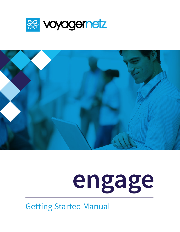



# **engage**

Getting Started Manual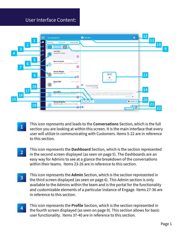## User Interface Content:



- This icon represents and leads to the **Conversations** Section, which is the full section you are looking at within this screen. It is the main interface that every user will utilize in communicating with Customers. Items 5-22 are in reference to this section. **1**
- **2** This icon represents the **Dashboard** Section, which is the section represented in the second screen displayed (as seen on page 5). The Dashboards are an easy way for Admins to see at a glance the breakdown of the conversations within their teams. Items 23-26 are in reference to this section.
- **3** This icon represents the **Admin** Section, which is the section represented in the third screen displayed (as seen on page 6). This Admin section is only available to the Admins within the team and is the portal for the functionality and customizable elements of a particular instance of Engage. Items 27-36 are in reference to this section.
- **4** This icon represents the **Profile** Section, which is the section represented in the fourth screen displayed (as seen on page 9). This section allows for basic user functionality. Items 37-40 are in reference to this section.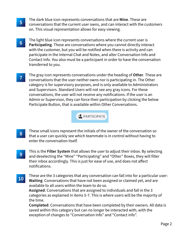- The dark blue icon represents conversations that are **Mine**. These are conversations that the current user owns, and can interact with the customers on. This visual representation allows for easy viewing. **5**
- **6** The light blue icon represents conversations where the current user is **Participating**. These are conversations where you cannot directly interact with the customer, but you will be notified when there is activity and can participate in the Internal Chat and Notes, and alter Conversation Info and Contact Info. You also must be a participant in order to have the conversation transferred to you.
- **7** The gray icon represents conversations under the heading of **Other**. These are conversations that the user neither owns nor is participating in. The Other category is for supervisory purposes, and is only available to Administrators and Supervisors. Standard Users will not see any gray icons. For these conversations, the user will not receive any notifications. If the user is an Admin or Supervisor, they can force their participation by clicking the below Participate Button, that is available within Other Conversations.

+<sup>•</sup> PARTICIPATE

- **8** These small icons represent the initials of the owner of the conversation so that a user can quickly see which teammate is in control without having to enter the conversation itself.
- This is the **Filter System** that allows the user to adjust their inbox. By selecting and deselecting the "Mine" "Participating" and "Other" Boxes, they will filter their inbox accordingly. This is just for ease of use, and does not affect notifications. **9**
- **10** These are the 3 categories that any conversation can fall into for a particular user:<br>**10** Waiting: Conversations that have not been assigned or claimed vet, and are **Waiting**: Conversations that have not been assigned or claimed yet, and are available to all users within the team to do so.

**Assigned**: Conversations that are assigned to individuals and fall in the 3 categories as explained in items 5-7. This is where users will be the majority of the time.

**Completed**: Conversations that have been completed by their owners. All data is saved within this category but can no longer be interacted with, with the exception of changes to "Conversation Info" and "Contact info".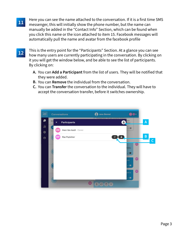- **11** Here you can see the name attached to the conversation. If it is a first time SMS messenger, this will initially show the phone number, but the name can manually be added in the "Contact Info" Section, which can be found when you click this name or the icon attached to item 15. Facebook messages will automatically pull the name and avatar from the facebook profile
- **12**

This is the entry point for the "Participants" Section. At a glance you can see how many users are currently participating in the conversation. By clicking on it you will get the window below, and be able to see the list of participants. By clicking on:

- **A.** You can **Add a Participant** from the list of users. They will be notified that they were added.
- **B.** You can **Remove** the individual from the conversation.
- **C.** You can **Transfer** the conversation to the individual. They will have to accept the conversation transfer, before it switches ownership.

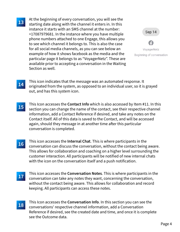## **13**

At the beginning of every conversation, you will see the starting date along with the channel it enters in. In this instance it starts with an SMS channel at the number: +17087979681. In the instance where you have multiple phone numbers attached to one Engage, this allows you to see which channel it belongs to. This is also the case for all social media channels, as you can see below an example of how it shows facebook as the media and the particular page it belongs to as "VoyagerNetz". These are available prior to accepting a conversation in the Waiting Section as well.

Sep 14 VoyagerNetz Beginning of conversation

- **14** This icon indicates that the message was an automated response. It originated from the system, as opposed to an individual user, so it is grayed out, and has this system icon.
- **15** This Icon accesses the **Contact Info** which is also accessed by Item #11. In this section you can change the name of the contact, see their respective channel information, add a Contact Reference if desired, and take any notes on the Contact itself. All of this data is saved to the Contact, and will be accessed again, should they message in at another time after this particular conversation is completed.
- **16** This icon accesses the **Internal Chat**. This is where participants in the conversation can discuss the conversation, without the contact being aware. This allows for collaboration and coaching on a higher level surrounding the customer interaction. All participants will be notified of new internal chats with the icon on the conversation itself and a push notification.
- This icon accesses the **Conversation Notes**. This is where participants in the conversation can take any notes they want, concerning the conversation, without the contact being aware. This allows for collaboration and record keeping. All participants can access these notes. **17**
- **18** This Icon accesses the **Conversation Info**. In this section you can see the conversations' respective channel information, add a Conversation Reference if desired, see the created date and time, and once it is complete see the Outcome data.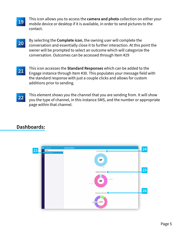- This icon allows you to access the **camera and photo** collection on either your mobile device or desktop if it is available, in order to send pictures to the contact. **19**
- **20** By selecting the **Complete icon**, the owning user will complete the conversation and essentially close it to further interaction. At this point the owner will be prompted to select an outcome which will categorize the conversation. Outcomes can be accessed through Item #29
- **21** This icon accesses the **Standard Responses** which can be added to the Engage instance through Item #30. This populates your message field with the standard response with just a couple clicks and allows for custom additions prior to sending.
- **22** This element shows you the channel that you are sending from. It will show you the type of channel, in this instance SMS, and the number or appropriate page within that channel.

# **Dashboards:**

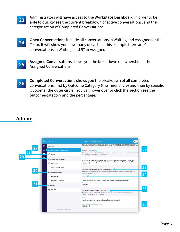- Administrators will have access to the **Workplace Dashboard** in order to be able to quickly see the current breakdown of active conversations, and the categorization of Completed Conversations. **23**
- **24 Open Conversations** include all conversations in Waiting and Assigned for the Team It will show you how many of each In this example there are 0. Team. It will show you how many of each. In this example there are 0 conversations in Waiting, and 57 in Assigned.
- **Assigned Conversations** shows you the breakdown of ownership of the Assigned Conversations. **25**
- **26 Completed Conversations** shows you the breakdown of all completed<br>26 **Conversations** first by Outsome Category (the inner sircle) and then by conversations, first by Outcome Category (the inner circle) and then by specific Outcome (the outer circle). You can hover over or click the section see the outcome/category and the percentage.

## **Admin:**

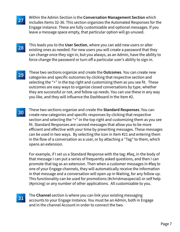- Within the Admin Section is the **Conversation Management Section** which includes Items 32-36. This section organizes the Automated Responses for the Engage instance. These are fully customizable and optional messages. If you leave a message space empty, that particular option will go unused. **27**
- **28** This leads you to the **User Section**, where you can add new users or alter existing ones as needed. For new users you will create a password that they can change once they sign in, but you always, as an Admin, have the ability to force change the password or turn off a particular user's ability to sign in.
- **29** These two sections organize and create the **Outcomes**. You can create new categories and specific outcomes by clicking that respective section and selecting the "+" in the top right and customizing them as you see fit. These outcomes are easy ways to organize closed conversations by type, whether they are successful or not, and follow up needs. You can use these in any way you like, and they will influence the Dashboard in the Item #2.
- **30** These two sections organize and create the **Standard Responses**. You can create new categories and specific responses by clicking that respective section and selecting the "+" in the top right and customizing them as you see fit. Standard Responses are canned messages that allow you to be more efficient and effective with your time by prewriting messages. These messages can be used in two ways. By selecting the icon in Item #21 and entering them in the flow of a conversation as a user, or by attaching a "Tag" to them, which opens an extension.

For example, if I set us a Standard Response with the tag: #faq, in the body of that message I can put a series of frequently asked questions, and then I can promote that tag as an extension. Then when a customer messages in #faq to one of your Engage channels, they will automatically receive the information in that message and a conversation will open up in Waiting, for any follow up. This functionality can be used for promotions (#christmasspecial) or self help (#pricing) or any number of other applications. All customizable to you.

**31**

The **Channel** section is where you can link your existing messaging accounts to your Engage Instance. You must be an Admin, both in Engage and in the channel Account in order to connect the two.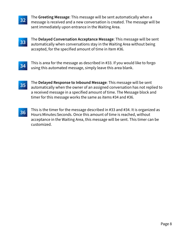- **32** The Greeting Message: This message will be sent automatically when a<br>**32 Example:** message is received and a new conversation is created. The message will message is received and a new conversation is created. The message will be sent immediately upon entrance in the Waiting Area.
- The **Delayed Conversation Acceptance Message**: This message will be sent automatically when conversations stay in the Waiting Area without being accepted, for the specified amount of time in Item #36. **33**
- **34** This is area for the message as described in #33. If you would like to forgo using this automated message, simply leave this area blank.
- **35** The **Delayed Response to Inbound Message**: This message will be sent automatically when the owner of an assigned conversation has not replied to a received message in a specified amount of time. The Message block and timer for this message works the same as items #34 and #36.
- **36** This is the timer for the message described in #33 and #34. It is organized as <br>36 Hours Minutes: Seconds, Once this amount of time is reached, without Hours:Minutes:Seconds. Once this amount of time is reached, without acceptance in the Waiting Area, this message will be sent. This timer can be customized.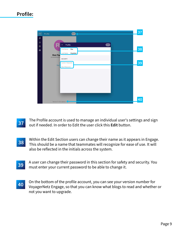# **Profile:**



- The Profile account is used to manage an individual user's settings and sign out if needed. In order to Edit the user click this **Edit** button. **37**
- **38** Within the Edit Section users can change their name as it appears in Engage.<br>**38** This should be a name that teammates will recognize for ease of use It will This should be a name that teammates will recognize for ease of use. It will also be reflected in the initials across the system.
- **39** A user can change their password in this section for safety and security. You must enter your current password to be able to change it.
- **40** On the bottom of the profile account, you can see your version number for<br>Version black Engage, so that you can know what blogs to read and whether VoyagerNetz Engage, so that you can know what blogs to read and whether or not you want to upgrade.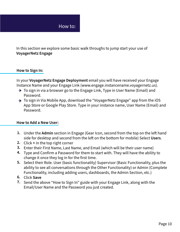

In this section we explore some basic walk throughs to jump start your use of **VoyagerNetz Engage**

#### **How to Sign In:**

In your **VoyagerNetz Engage Deployment** email you will have received your Engage Instance Name and your Engage Link (www.engage.instancename.voyagernetz.us).

- $\rightarrow$  To sign in via a browser go to the Engage Link, Type in User Name (Email) and Password.
- → To sign in Via Mobile App, download the "VoyagerNetz Engage" app from the iOS App Store or Google Play Store. Type in your instance name, User Name (Email) and Password.

#### **How to Add a New User:**

- 1. Under the Admin section in Engage (Gear Icon, second from the top on the left hand side for desktop and second from the left on the bottom for mobile) Select Users.
- Click **+** in the top right corner **2.**
- Enter their First Name, Last Name, and Email (which will be their user name) **3.**
- Type and Confirm a Password for them to start with. They will have the ability to **4.** change it once they log in for the first time.
- Select their Role. User (basic functionality) Supervisor (Basic Functionality, plus the **5.** ability to see all conversations through the Other Functionality) or Admin (Complete Functionality, including adding users, dashboards, the Admin Section, etc.)
- **6.** Click Save
- Send the above "How to Sign In" guide with your Engage Link, along with the **7.** Email/User Name and the Password you just created.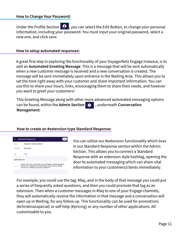Under the Profile Section  $\boxed{\mathbf{e}}$ , you can select the Edit Button, to change your personal information, including your password. You must input your original password, select a new one, and click save.

#### **How to setup automated responses:**

A great first step in exploring the functionality of your VoyagerNetz Engage Instance, is to add an **Automated Greeting Message**. This is a message that will be sent automatically when a new customer message is received and a new conversation is created. The message will be sent immediately upon entrance in the Waiting Area. This allows you to set the tone right away with your customer and share important information. You can use this to share your hours, links, encouraging them to share their needs, and however you want to greet your customers!

This Greeting Message along with other more advanced automated messaging options can be found, within the **Admin Section** , underneath **Conversation Management**.

#### **How to create an #extension type Standard Response:**

| $\times$             | <b>Standard Response</b>                                                                                                                                                           |
|----------------------|------------------------------------------------------------------------------------------------------------------------------------------------------------------------------------|
| Name                 | <b>Frequently Asked Questions</b>                                                                                                                                                  |
| Category             | Extensions =                                                                                                                                                                       |
| Tag                  | fag                                                                                                                                                                                |
| <b>RESPONSE TEXT</b> |                                                                                                                                                                                    |
| Message              | Here is where you could write out your frequently asked questions,<br>so that your customers can access them with a quick message<br>without you needing to personally address it! |

You can utilize our #extension functionality which lives in our Standard Response section within the Admin Section. This allows you to connect a Standard Response with an extension style hashtag, opening the door to automated messaging which can share vital information to your customers/clients immediately.

For example, you could use the tag: #faq, and in the body of that message you could put a series of frequently asked questions, and then you could promote that tag as an extension. Then when a customer messages in #faq to one of your Engage channels, they will automatically receive the information in that message and a conversation will open up in Waiting, for any follow up. This functionality can be used for promotions (#christmasspecial) or self help (#pricing) or any number of other applications. All customizable to you.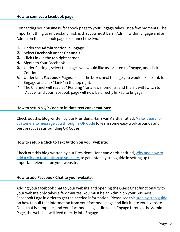Connecting your business' facebook page to your Engage takes just a few moments. The important thing to understand first, is that you must be an Admin within Engage and an Admin on the facebook page to connect the two.

- Under the **Admin** section in Engage **1.**
- 2. Select **Facebook** under **Channels**.
- Click **Link** in the top right corner **3.**
- 4. SignIn to Your Facebook
- Under Settings, select the pages you would like associated to Engage, and click **5.** Continue.
- Under **Link Facebook Pages**, select the boxes next to page you would like to link to **6.** Engage and click "Link" in the top right.
- The Channel will read as "Pending" for a few moments, and then it will switch to **7.** "Active" and your facebook page will now be directly linked to Engage!

#### **How to setup a QR Code to initiate text conversations:**

Check out this blog written by our President, Hanz van Aardt entitled, [Make it easy for](https://voyagernetz.com/experiencenetz/engage/conversational-messaging/make-it-easy-for-customers-to-message-you-through-a-qr-code/)  [customers to message you through a QR Code](https://voyagernetz.com/experiencenetz/engage/conversational-messaging/make-it-easy-for-customers-to-message-you-through-a-qr-code/) to learn some easy work arounds and best practices surrounding QR Codes.

#### **How to setup a Click to Text button on your website:**

Check out this blog written by our President, Hanz van Aardt entitled, [Why and how to](https://voyagernetz.com/experiencenetz/engage/conversational-messaging/why-and-how-to-add-a-click-to-text-button-to-your-site/)  [add a click to text button to your site, t](https://voyagernetz.com/experiencenetz/engage/conversational-messaging/why-and-how-to-add-a-click-to-text-button-to-your-site/)o get a step by step guide in setting up this important element on your website.

#### **How to add Facebook Chat to your website:**

Adding your facebook chat to your website and opening the Guest Chat functionality to your website only takes a few minutes! You must be an Admin on your Business Facebook Page in order to get the needed information. Please see this [step by step guide](https://www.facebook.com/business/help/1524587524402327) on how to pull that information from your facebook page and link it into your website. Once that is complete, and your facebook page is linked in Engage through the Admin Page, the webchat will feed directly into Engage.